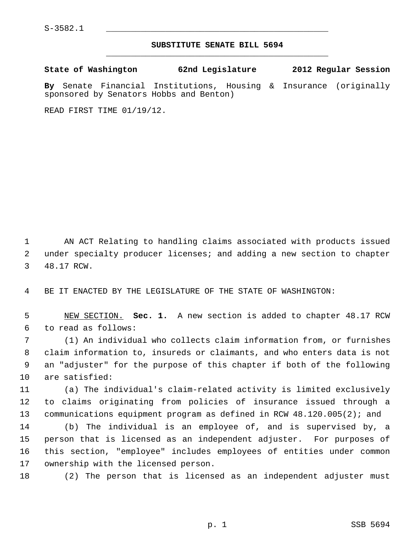## **SUBSTITUTE SENATE BILL 5694** \_\_\_\_\_\_\_\_\_\_\_\_\_\_\_\_\_\_\_\_\_\_\_\_\_\_\_\_\_\_\_\_\_\_\_\_\_\_\_\_\_\_\_\_\_

**State of Washington 62nd Legislature 2012 Regular Session**

**By** Senate Financial Institutions, Housing & Insurance (originally sponsored by Senators Hobbs and Benton)

READ FIRST TIME 01/19/12.

 1 AN ACT Relating to handling claims associated with products issued 2 under specialty producer licenses; and adding a new section to chapter 3 48.17 RCW.

4 BE IT ENACTED BY THE LEGISLATURE OF THE STATE OF WASHINGTON:

 5 NEW SECTION. **Sec. 1.** A new section is added to chapter 48.17 RCW 6 to read as follows:

 7 (1) An individual who collects claim information from, or furnishes 8 claim information to, insureds or claimants, and who enters data is not 9 an "adjuster" for the purpose of this chapter if both of the following 10 are satisfied:

11 (a) The individual's claim-related activity is limited exclusively 12 to claims originating from policies of insurance issued through a 13 communications equipment program as defined in RCW 48.120.005(2); and

14 (b) The individual is an employee of, and is supervised by, a 15 person that is licensed as an independent adjuster. For purposes of 16 this section, "employee" includes employees of entities under common 17 ownership with the licensed person.

18 (2) The person that is licensed as an independent adjuster must